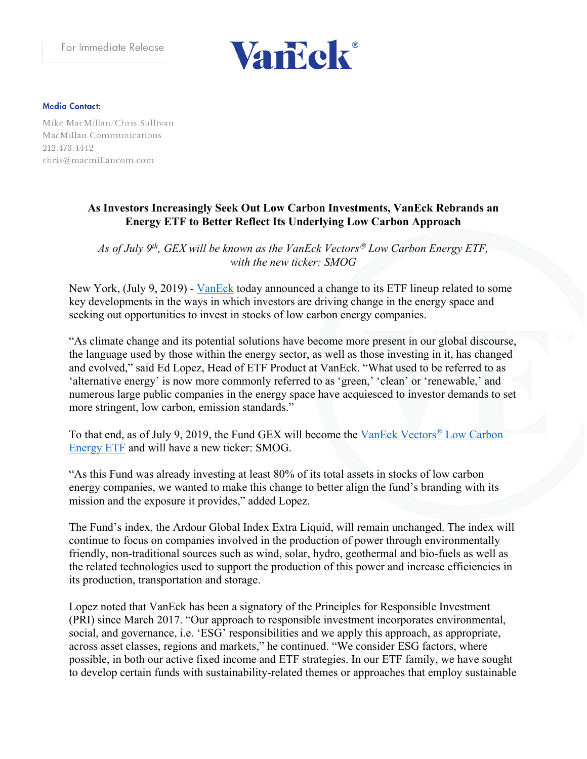

### **Media Contact:**

Mike MacMillan/Chris Sullivan MacMillan Communications 212.473.4442 chris@macmillancom.com

# **As Investors Increasingly Seek Out Low Carbon Investments, VanEck Rebrands an Energy ETF to Better Reflect Its Underlying Low Carbon Approach**

*As of July 9th, GEX will be known as the VanEck Vectors Low Carbon Energy ETF, with the new ticker: SMOG*

New York, (July 9, 2019) - [VanEck](https://www.vaneck.com/) today announced a change to its ETF lineup related to some key developments in the ways in which investors are driving change in the energy space and seeking out opportunities to invest in stocks of low carbon energy companies.

"As climate change and its potential solutions have become more present in our global discourse, the language used by those within the energy sector, as well as those investing in it, has changed and evolved," said Ed Lopez, Head of ETF Product at VanEck. "What used to be referred to as 'alternative energy' is now more commonly referred to as 'green,' 'clean' or 'renewable,' and numerous large public companies in the energy space have acquiesced to investor demands to set more stringent, low carbon, emission standards."

To that end, as of July 9, 2019, the Fund GEX will become the [VanEck Vectors](https://www.vaneck.com/etf/equity/smog/overview/)<sup>®</sup> Low Carbon [Energy ETF](https://www.vaneck.com/etf/equity/smog/overview/) and will have a new ticker: SMOG.

"As this Fund was already investing at least 80% of its total assets in stocks of low carbon energy companies, we wanted to make this change to better align the fund's branding with its mission and the exposure it provides," added Lopez.

The Fund's index, the Ardour Global Index Extra Liquid, will remain unchanged. The index will continue to focus on companies involved in the production of power through environmentally friendly, non-traditional sources such as wind, solar, hydro, geothermal and bio-fuels as well as the related technologies used to support the production of this power and increase efficiencies in its production, transportation and storage.

Lopez noted that VanEck has been a signatory of the Principles for Responsible Investment (PRI) since March 2017. "Our approach to responsible investment incorporates environmental, social, and governance, i.e. 'ESG' responsibilities and we apply this approach, as appropriate, across asset classes, regions and markets," he continued. "We consider ESG factors, where possible, in both our active fixed income and ETF strategies. In our ETF family, we have sought to develop certain funds with sustainability-related themes or approaches that employ sustainable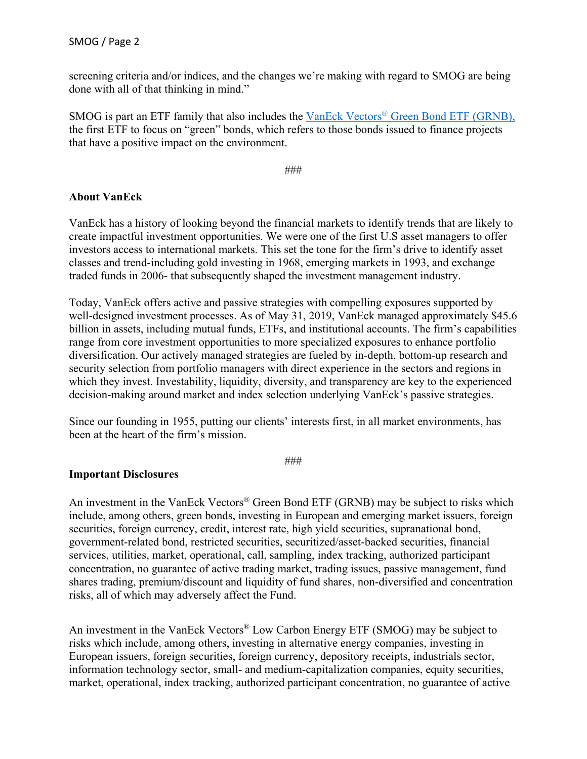screening criteria and/or indices, and the changes we're making with regard to SMOG are being done with all of that thinking in mind."

SMOG is part an ETF family that also includes the VanEck Vectors<sup>®</sup> [Green Bond ETF \(GRNB\),](https://www.vaneck.com/etf/income/grnb/overview/) the first ETF to focus on "green" bonds, which refers to those bonds issued to finance projects that have a positive impact on the environment.

###

## **About VanEck**

VanEck has a history of looking beyond the financial markets to identify trends that are likely to create impactful investment opportunities. We were one of the first U.S asset managers to offer investors access to international markets. This set the tone for the firm's drive to identify asset classes and trend-including gold investing in 1968, emerging markets in 1993, and exchange traded funds in 2006- that subsequently shaped the investment management industry.

Today, VanEck offers active and passive strategies with compelling exposures supported by well-designed investment processes. As of May 31, 2019, VanEck managed approximately \$45.6 billion in assets, including mutual funds, ETFs, and institutional accounts. The firm's capabilities range from core investment opportunities to more specialized exposures to enhance portfolio diversification. Our actively managed strategies are fueled by in-depth, bottom-up research and security selection from portfolio managers with direct experience in the sectors and regions in which they invest. Investability, liquidity, diversity, and transparency are key to the experienced decision-making around market and index selection underlying VanEck's passive strategies.

Since our founding in 1955, putting our clients' interests first, in all market environments, has been at the heart of the firm's mission.

#### ###

### **Important Disclosures**

An investment in the VanEck Vectors<sup>®</sup> Green Bond ETF (GRNB) may be subject to risks which include, among others, green bonds, investing in European and emerging market issuers, foreign securities, foreign currency, credit, interest rate, high yield securities, supranational bond, government-related bond, restricted securities, securitized/asset-backed securities, financial services, utilities, market, operational, call, sampling, index tracking, authorized participant concentration, no guarantee of active trading market, trading issues, passive management, fund shares trading, premium/discount and liquidity of fund shares, non-diversified and concentration risks, all of which may adversely affect the Fund.

An investment in the VanEck Vectors® Low Carbon Energy ETF (SMOG) may be subject to risks which include, among others, investing in alternative energy companies, investing in European issuers, foreign securities, foreign currency, depository receipts, industrials sector, information technology sector, small- and medium-capitalization companies, equity securities, market, operational, index tracking, authorized participant concentration, no guarantee of active